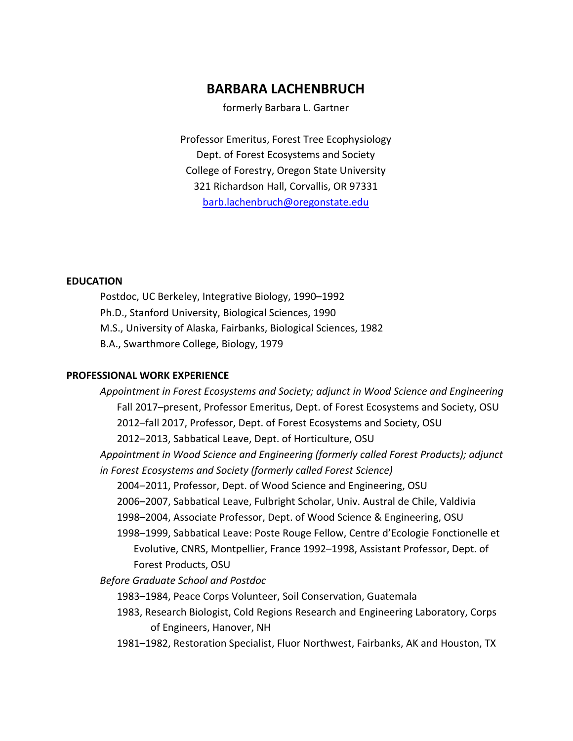# **BARBARA LACHENBRUCH**

formerly Barbara L. Gartner

Professor Emeritus, Forest Tree Ecophysiology Dept. of Forest Ecosystems and Society College of Forestry, Oregon State University 321 Richardson Hall, Corvallis, OR 97331 [barb.lachenbruch@oregonstate.edu](mailto:barb.lachenbruch@oregonstate.edu)

# **EDUCATION**

Postdoc, UC Berkeley, Integrative Biology, 1990–1992 Ph.D., Stanford University, Biological Sciences, 1990 M.S., University of Alaska, Fairbanks, Biological Sciences, 1982 B.A., Swarthmore College, Biology, 1979

# **PROFESSIONAL WORK EXPERIENCE**

*Appointment in Forest Ecosystems and Society; adjunct in Wood Science and Engineering* Fall 2017–present, Professor Emeritus, Dept. of Forest Ecosystems and Society, OSU 2012–fall 2017, Professor, Dept. of Forest Ecosystems and Society, OSU 2012–2013, Sabbatical Leave, Dept. of Horticulture, OSU

*Appointment in Wood Science and Engineering (formerly called Forest Products); adjunct in Forest Ecosystems and Society (formerly called Forest Science)*

2004–2011, Professor, Dept. of Wood Science and Engineering, OSU

- 2006–2007, Sabbatical Leave, Fulbright Scholar, Univ. Austral de Chile, Valdivia
- 1998–2004, Associate Professor, Dept. of Wood Science & Engineering, OSU
- 1998–1999, Sabbatical Leave: Poste Rouge Fellow, Centre d'Ecologie Fonctionelle et Evolutive, CNRS, Montpellier, France 1992–1998, Assistant Professor, Dept. of Forest Products, OSU

*Before Graduate School and Postdoc*

- 1983–1984, Peace Corps Volunteer, Soil Conservation, Guatemala
- 1983, Research Biologist, Cold Regions Research and Engineering Laboratory, Corps of Engineers, Hanover, NH
- 1981–1982, Restoration Specialist, Fluor Northwest, Fairbanks, AK and Houston, TX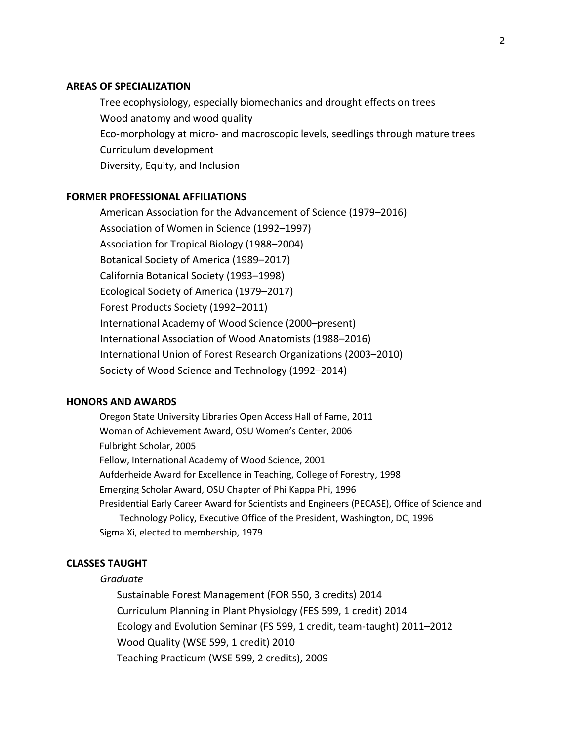# **AREAS OF SPECIALIZATION**

Tree ecophysiology, especially biomechanics and drought effects on trees Wood anatomy and wood quality Eco-morphology at micro- and macroscopic levels, seedlings through mature trees Curriculum development Diversity, Equity, and Inclusion

# **FORMER PROFESSIONAL AFFILIATIONS**

American Association for the Advancement of Science (1979–2016) Association of Women in Science (1992–1997) Association for Tropical Biology (1988–2004) Botanical Society of America (1989–2017) California Botanical Society (1993–1998) Ecological Society of America (1979–2017) Forest Products Society (1992–2011) International Academy of Wood Science (2000–present) International Association of Wood Anatomists (1988–2016) International Union of Forest Research Organizations (2003–2010) Society of Wood Science and Technology (1992–2014)

# **HONORS AND AWARDS**

Oregon State University Libraries Open Access Hall of Fame, 2011 Woman of Achievement Award, OSU Women's Center, 2006 Fulbright Scholar, 2005 Fellow, International Academy of Wood Science, 2001 Aufderheide Award for Excellence in Teaching, College of Forestry, 1998 Emerging Scholar Award, OSU Chapter of Phi Kappa Phi, 1996 Presidential Early Career Award for Scientists and Engineers (PECASE), Office of Science and Technology Policy, Executive Office of the President, Washington, DC, 1996 Sigma Xi, elected to membership, 1979

#### **CLASSES TAUGHT**

#### *Graduate*

Sustainable Forest Management (FOR 550, 3 credits) 2014 Curriculum Planning in Plant Physiology (FES 599, 1 credit) 2014 Ecology and Evolution Seminar (FS 599, 1 credit, team-taught) 2011–2012 Wood Quality (WSE 599, 1 credit) 2010 Teaching Practicum (WSE 599, 2 credits), 2009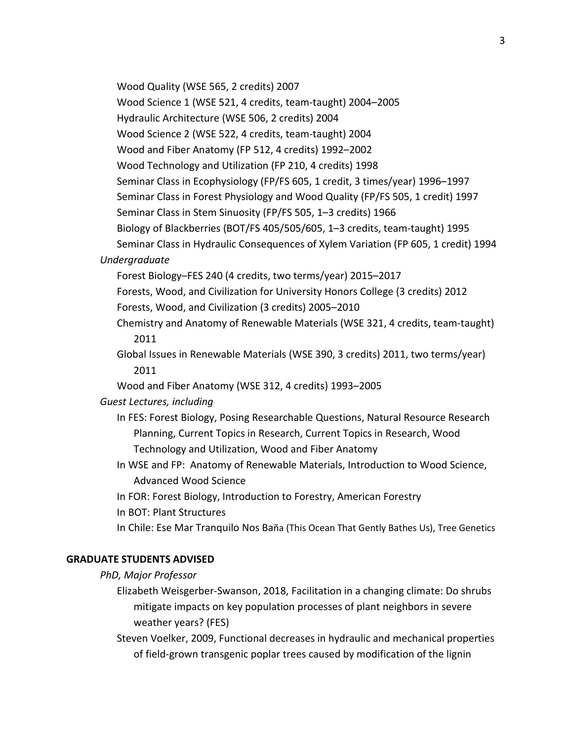Wood Quality (WSE 565, 2 credits) 2007

Wood Science 1 (WSE 521, 4 credits, team-taught) 2004–2005

Hydraulic Architecture (WSE 506, 2 credits) 2004

Wood Science 2 (WSE 522, 4 credits, team-taught) 2004

Wood and Fiber Anatomy (FP 512, 4 credits) 1992–2002

Wood Technology and Utilization (FP 210, 4 credits) 1998

Seminar Class in Ecophysiology (FP/FS 605, 1 credit, 3 times/year) 1996–1997

Seminar Class in Forest Physiology and Wood Quality (FP/FS 505, 1 credit) 1997

Seminar Class in Stem Sinuosity (FP/FS 505, 1–3 credits) 1966

Biology of Blackberries (BOT/FS 405/505/605, 1–3 credits, team-taught) 1995

Seminar Class in Hydraulic Consequences of Xylem Variation (FP 605, 1 credit) 1994

# *Undergraduate*

Forest Biology–FES 240 (4 credits, two terms/year) 2015–2017

Forests, Wood, and Civilization for University Honors College (3 credits) 2012

Forests, Wood, and Civilization (3 credits) 2005–2010

Chemistry and Anatomy of Renewable Materials (WSE 321, 4 credits, team-taught) 2011

Global Issues in Renewable Materials (WSE 390, 3 credits) 2011, two terms/year) 2011

Wood and Fiber Anatomy (WSE 312, 4 credits) 1993–2005

## *Guest Lectures, including*

In FES: Forest Biology, Posing Researchable Questions, Natural Resource Research Planning, Current Topics in Research, Current Topics in Research, Wood Technology and Utilization, Wood and Fiber Anatomy

In WSE and FP: Anatomy of Renewable Materials, Introduction to Wood Science, Advanced Wood Science

In FOR: Forest Biology, Introduction to Forestry, American Forestry

In BOT: Plant Structures

In Chile: Ese Mar Tranquilo Nos Baña (This Ocean That Gently Bathes Us), Tree Genetics

## **GRADUATE STUDENTS ADVISED**

*PhD, Major Professor*

Elizabeth Weisgerber-Swanson, 2018, Facilitation in a changing climate: Do shrubs mitigate impacts on key population processes of plant neighbors in severe weather years? (FES)

Steven Voelker, 2009, Functional decreases in hydraulic and mechanical properties of field-grown transgenic poplar trees caused by modification of the lignin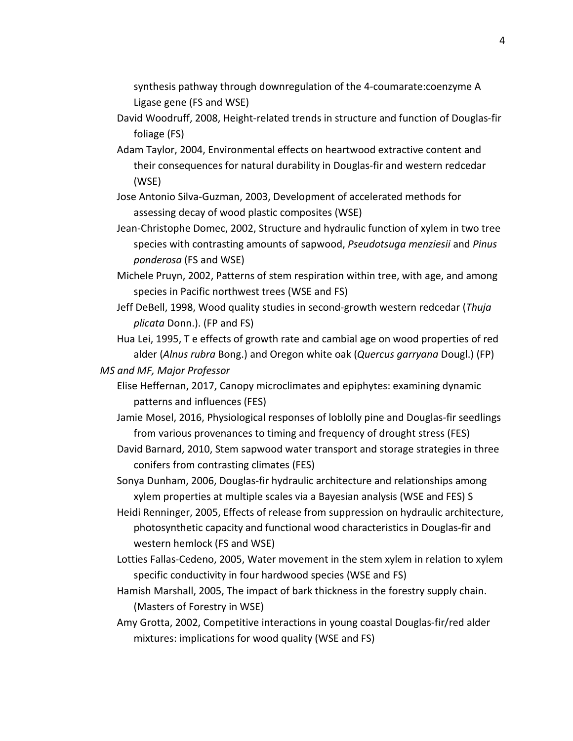synthesis pathway through downregulation of the 4-coumarate:coenzyme A Ligase gene (FS and WSE)

- David Woodruff, 2008, Height-related trends in structure and function of Douglas-fir foliage (FS)
- Adam Taylor, 2004, Environmental effects on heartwood extractive content and their consequences for natural durability in Douglas-fir and western redcedar (WSE)
- Jose Antonio Silva-Guzman, 2003, Development of accelerated methods for assessing decay of wood plastic composites (WSE)
- Jean-Christophe Domec, 2002, Structure and hydraulic function of xylem in two tree species with contrasting amounts of sapwood, *Pseudotsuga menziesii* and *Pinus ponderosa* (FS and WSE)
- Michele Pruyn, 2002, Patterns of stem respiration within tree, with age, and among species in Pacific northwest trees (WSE and FS)
- Jeff DeBell, 1998, Wood quality studies in second-growth western redcedar (*Thuja plicata* Donn.). (FP and FS)
- Hua Lei, 1995, T e effects of growth rate and cambial age on wood properties of red alder (*Alnus rubra* Bong.) and Oregon white oak (*Quercus garryana* Dougl.) (FP)
- *MS and MF, Major Professor*
	- Elise Heffernan, 2017, Canopy microclimates and epiphytes: examining dynamic patterns and influences (FES)
	- Jamie Mosel, 2016, [Physiological responses of loblolly pine and Douglas-fir seedlings](https://ir.library.oregonstate.edu/xmlui/handle/1957/60132)  [from various provenances to timing and frequency of drought stress](https://ir.library.oregonstate.edu/xmlui/handle/1957/60132) (FES)
	- David Barnard, 2010, Stem sapwood water transport and storage strategies in three conifers from contrasting climates (FES)
	- Sonya Dunham, 2006, Douglas-fir hydraulic architecture and relationships among xylem properties at multiple scales via a Bayesian analysis (WSE and FES) S
	- Heidi Renninger, 2005, Effects of release from suppression on hydraulic architecture, photosynthetic capacity and functional wood characteristics in Douglas-fir and western hemlock (FS and WSE)
	- Lotties Fallas-Cedeno, 2005, Water movement in the stem xylem in relation to xylem specific conductivity in four hardwood species (WSE and FS)
	- Hamish Marshall, 2005, The impact of bark thickness in the forestry supply chain. (Masters of Forestry in WSE)
	- Amy Grotta, 2002, Competitive interactions in young coastal Douglas-fir/red alder mixtures: implications for wood quality (WSE and FS)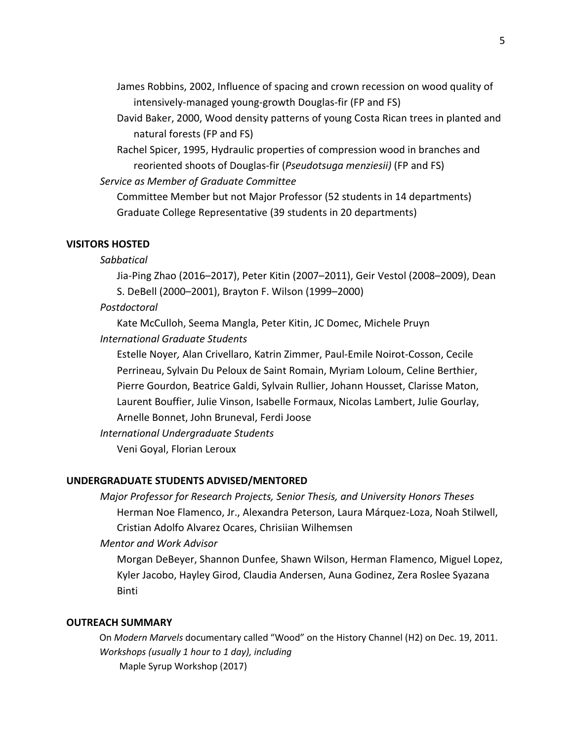James Robbins, 2002, Influence of spacing and crown recession on wood quality of intensively-managed young-growth Douglas-fir (FP and FS)

David Baker, 2000, Wood density patterns of young Costa Rican trees in planted and natural forests (FP and FS)

Rachel Spicer, 1995, Hydraulic properties of compression wood in branches and reoriented shoots of Douglas-fir (*Pseudotsuga menziesii)* (FP and FS)

*Service as Member of Graduate Committee*

Committee Member but not Major Professor (52 students in 14 departments) Graduate College Representative (39 students in 20 departments)

## **VISITORS HOSTED**

## *Sabbatical*

Jia-Ping Zhao (2016–2017), Peter Kitin (2007–2011), Geir Vestol (2008–2009), Dean S. DeBell (2000–2001), Brayton F. Wilson (1999–2000)

## *Postdoctoral*

Kate McCulloh, Seema Mangla, Peter Kitin, JC Domec, Michele Pruyn

*International Graduate Students*

Estelle Noyer*,* Alan Crivellaro, Katrin Zimmer, Paul-Emile Noirot-Cosson, Cecile Perrineau, Sylvain Du Peloux de Saint Romain, Myriam Loloum, Celine Berthier, Pierre Gourdon, Beatrice Galdi, Sylvain Rullier, Johann Housset, Clarisse Maton, Laurent Bouffier, Julie Vinson, Isabelle Formaux, Nicolas Lambert, Julie Gourlay, Arnelle Bonnet, John Bruneval, Ferdi Joose

*International Undergraduate Students*

Veni Goyal, Florian Leroux

#### **UNDERGRADUATE STUDENTS ADVISED/MENTORED**

*Major Professor for Research Projects, Senior Thesis, and University Honors Theses* Herman Noe Flamenco, Jr., Alexandra Peterson, Laura Márquez-Loza, Noah Stilwell, Cristian Adolfo Alvarez Ocares, Chrisiian Wilhemsen

# *Mentor and Work Advisor*

Morgan DeBeyer, Shannon Dunfee, Shawn Wilson, Herman Flamenco, Miguel Lopez, Kyler Jacobo, Hayley Girod, Claudia Andersen, Auna Godinez, Zera Roslee Syazana Binti

## **OUTREACH SUMMARY**

On *Modern Marvels* documentary called "Wood" on the History Channel (H2) on Dec. 19, 2011. *Workshops (usually 1 hour to 1 day), including*  Maple Syrup Workshop (2017)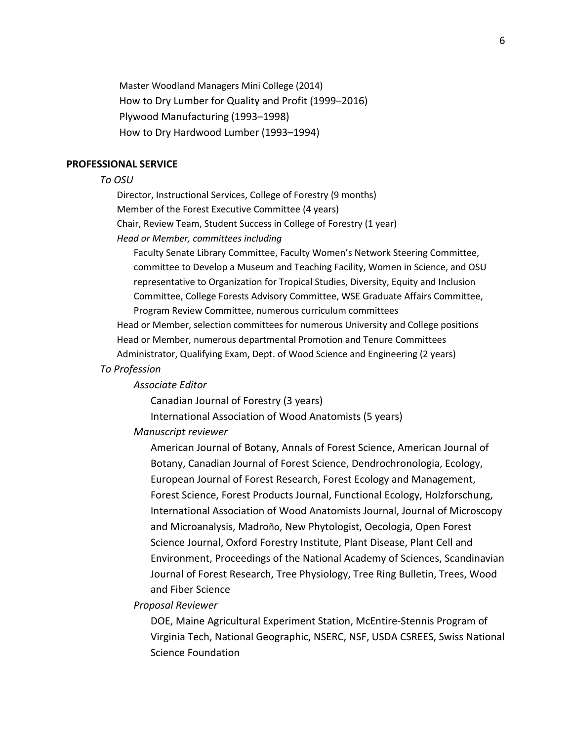Master Woodland Managers Mini College (2014) How to Dry Lumber for Quality and Profit (1999–2016) Plywood Manufacturing (1993–1998) How to Dry Hardwood Lumber (1993–1994)

#### **PROFESSIONAL SERVICE**

#### *To OSU*

Director, Instructional Services, College of Forestry (9 months) Member of the Forest Executive Committee (4 years) Chair, Review Team, Student Success in College of Forestry (1 year) *Head or Member, committees including* 

Faculty Senate Library Committee, Faculty Women's Network Steering Committee, committee to Develop a Museum and Teaching Facility, Women in Science, and OSU representative to Organization for Tropical Studies, Diversity, Equity and Inclusion Committee, College Forests Advisory Committee, WSE Graduate Affairs Committee, Program Review Committee, numerous curriculum committees

Head or Member, selection committees for numerous University and College positions Head or Member, numerous departmental Promotion and Tenure Committees Administrator, Qualifying Exam, Dept. of Wood Science and Engineering (2 years)

#### *To Profession*

#### *Associate Editor*

Canadian Journal of Forestry (3 years)

International Association of Wood Anatomists (5 years)

#### *Manuscript reviewer*

American Journal of Botany, Annals of Forest Science, American Journal of Botany, Canadian Journal of Forest Science, Dendrochronologia, Ecology, European Journal of Forest Research, Forest Ecology and Management, Forest Science, Forest Products Journal, Functional Ecology, Holzforschung, International Association of Wood Anatomists Journal, Journal of Microscopy and Microanalysis, Madroño, New Phytologist, Oecologia, Open Forest Science Journal, Oxford Forestry Institute, Plant Disease, Plant Cell and Environment, Proceedings of the National Academy of Sciences, Scandinavian Journal of Forest Research, Tree Physiology, Tree Ring Bulletin, Trees, Wood and Fiber Science

*Proposal Reviewer*

DOE, Maine Agricultural Experiment Station, McEntire-Stennis Program of Virginia Tech, National Geographic, NSERC, NSF, USDA CSREES, Swiss National Science Foundation